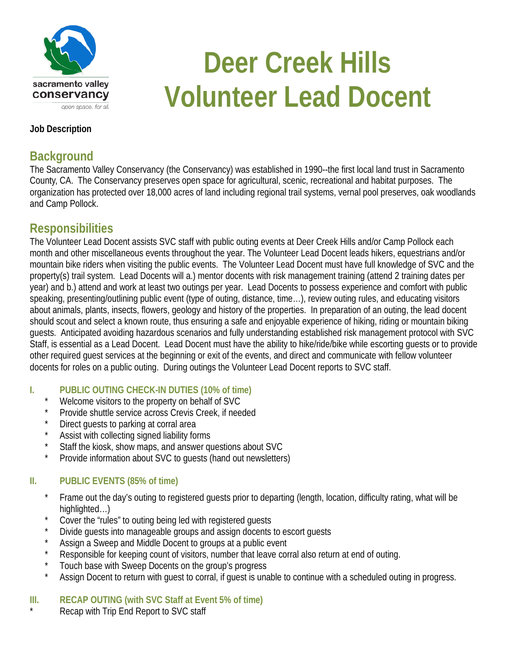

# **Deer Creek Hills Volunteer Lead Docent**

#### **Job Description**

## **Background**

The Sacramento Valley Conservancy (the Conservancy) was established in 1990--the first local land trust in Sacramento County, CA. The Conservancy preserves open space for agricultural, scenic, recreational and habitat purposes. The organization has protected over 18,000 acres of land including regional trail systems, vernal pool preserves, oak woodlands and Camp Pollock.

## **Responsibilities**

The Volunteer Lead Docent assists SVC staff with public outing events at Deer Creek Hills and/or Camp Pollock each month and other miscellaneous events throughout the year. The Volunteer Lead Docent leads hikers, equestrians and/or mountain bike riders when visiting the public events. The Volunteer Lead Docent must have full knowledge of SVC and the property(s) trail system. Lead Docents will a.) mentor docents with risk management training (attend 2 training dates per year) and b.) attend and work at least two outings per year. Lead Docents to possess experience and comfort with public speaking, presenting/outlining public event (type of outing, distance, time…), review outing rules, and educating visitors about animals, plants, insects, flowers, geology and history of the properties. In preparation of an outing, the lead docent should scout and select a known route, thus ensuring a safe and enjoyable experience of hiking, riding or mountain biking guests. Anticipated avoiding hazardous scenarios and fully understanding established risk management protocol with SVC Staff, is essential as a Lead Docent. Lead Docent must have the ability to hike/ride/bike while escorting guests or to provide other required guest services at the beginning or exit of the events, and direct and communicate with fellow volunteer docents for roles on a public outing. During outings the Volunteer Lead Docent reports to SVC staff.

#### **I. PUBLIC OUTING CHECK-IN DUTIES (10% of time)**

- Welcome visitors to the property on behalf of SVC
- Provide shuttle service across Crevis Creek, if needed
- Direct guests to parking at corral area
- Assist with collecting signed liability forms
- Staff the kiosk, show maps, and answer questions about SVC
- Provide information about SVC to quests (hand out newsletters)

#### **II. PUBLIC EVENTS (85% of time)**

- Frame out the day's outing to registered guests prior to departing (length, location, difficulty rating, what will be highlighted…)
- Cover the "rules" to outing being led with registered guests
- Divide guests into manageable groups and assign docents to escort guests
- Assign a Sweep and Middle Docent to groups at a public event
- Responsible for keeping count of visitors, number that leave corral also return at end of outing.
- Touch base with Sweep Docents on the group's progress
- Assign Docent to return with guest to corral, if guest is unable to continue with a scheduled outing in progress.

#### **III. RECAP OUTING (with SVC Staff at Event 5% of time)**

Recap with Trip End Report to SVC staff